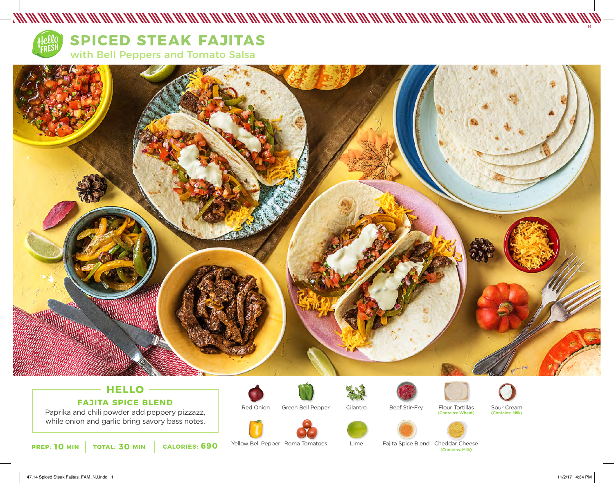

# **SPICED STEAK FAJITAS**

with Bell Peppers and Tomato Salsa



# **HELLO FAJITA SPICE BLEND**

Paprika and chili powder add peppery pizzazz, while onion and garlic bring savory bass notes.



Red Onion Green Bell Pepper



Yellow Bell Pepper Roma Tomatoes



Cilantro

Lime





Sour Cream (Contains: Milk)

**10 30 690** (Contains: Milk) **PREP: MIN TOTAL: MIN CALORIES:** Fajita Spice Blend Cheddar Cheese

14